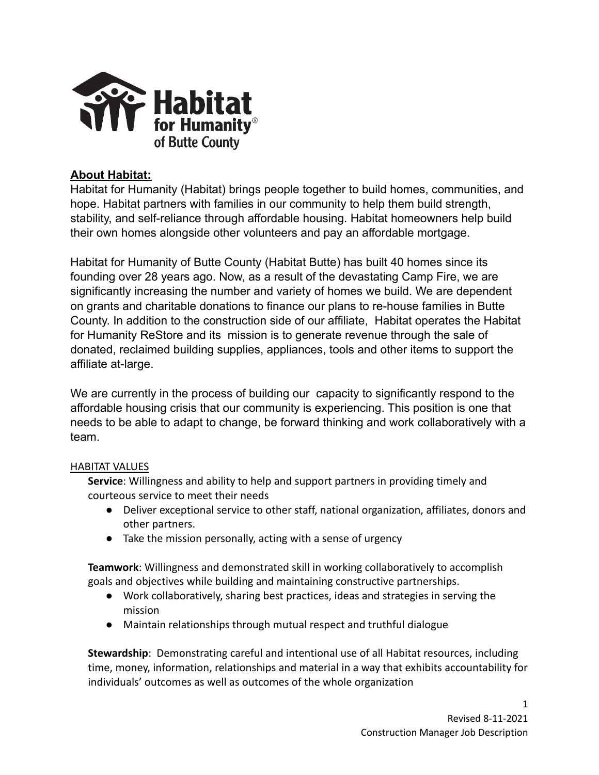

# **About Habitat:**

Habitat for Humanity (Habitat) brings people together to build homes, communities, and hope. Habitat partners with families in our community to help them build strength, stability, and self-reliance through affordable housing. Habitat homeowners help build their own homes alongside other volunteers and pay an affordable mortgage.

Habitat for Humanity of Butte County (Habitat Butte) has built 40 homes since its founding over 28 years ago. Now, as a result of the devastating Camp Fire, we are significantly increasing the number and variety of homes we build. We are dependent on grants and charitable donations to finance our plans to re-house families in Butte County. In addition to the construction side of our affiliate, Habitat operates the Habitat for Humanity ReStore and its mission is to generate revenue through the sale of donated, reclaimed building supplies, appliances, tools and other items to support the affiliate at-large.

We are currently in the process of building our capacity to significantly respond to the affordable housing crisis that our community is experiencing. This position is one that needs to be able to adapt to change, be forward thinking and work collaboratively with a team.

### HABITAT VALUES

**Service**: Willingness and ability to help and support partners in providing timely and courteous service to meet their needs

- Deliver exceptional service to other staff, national organization, affiliates, donors and other partners.
- Take the mission personally, acting with a sense of urgency

**Teamwork**: Willingness and demonstrated skill in working collaboratively to accomplish goals and objectives while building and maintaining constructive partnerships.

- Work collaboratively, sharing best practices, ideas and strategies in serving the mission
- Maintain relationships through mutual respect and truthful dialogue

**Stewardship**: Demonstrating careful and intentional use of all Habitat resources, including time, money, information, relationships and material in a way that exhibits accountability for individuals' outcomes as well as outcomes of the whole organization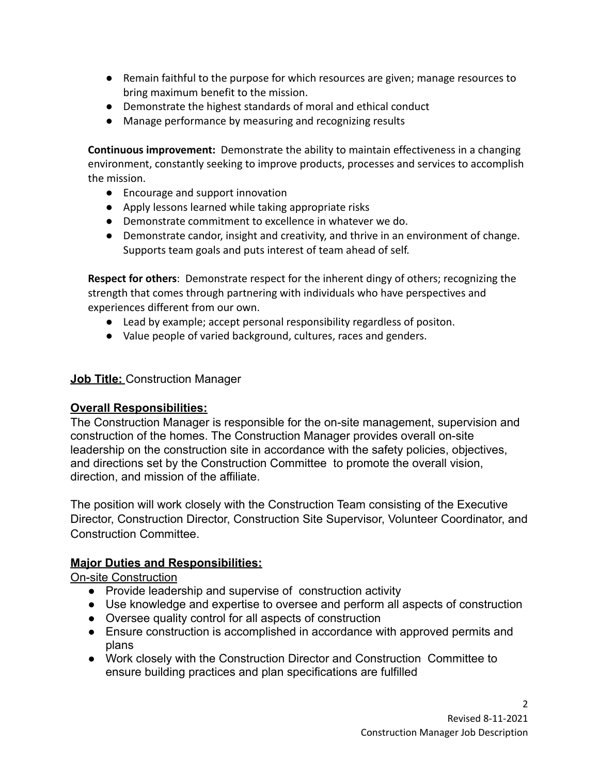- Remain faithful to the purpose for which resources are given; manage resources to bring maximum benefit to the mission.
- Demonstrate the highest standards of moral and ethical conduct
- Manage performance by measuring and recognizing results

**Continuous improvement:** Demonstrate the ability to maintain effectiveness in a changing environment, constantly seeking to improve products, processes and services to accomplish the mission.

- Encourage and support innovation
- Apply lessons learned while taking appropriate risks
- Demonstrate commitment to excellence in whatever we do.
- Demonstrate candor, insight and creativity, and thrive in an environment of change. Supports team goals and puts interest of team ahead of self.

**Respect for others**: Demonstrate respect for the inherent dingy of others; recognizing the strength that comes through partnering with individuals who have perspectives and experiences different from our own.

- Lead by example; accept personal responsibility regardless of positon.
- Value people of varied background, cultures, races and genders.

### **Job Title: Construction Manager**

### **Overall Responsibilities:**

The Construction Manager is responsible for the on-site management, supervision and construction of the homes. The Construction Manager provides overall on-site leadership on the construction site in accordance with the safety policies, objectives, and directions set by the Construction Committee to promote the overall vision, direction, and mission of the affiliate.

The position will work closely with the Construction Team consisting of the Executive Director, Construction Director, Construction Site Supervisor, Volunteer Coordinator, and Construction Committee.

## **Major Duties and Responsibilities:**

On-site Construction

- Provide leadership and supervise of construction activity
- Use knowledge and expertise to oversee and perform all aspects of construction
- Oversee quality control for all aspects of construction
- Ensure construction is accomplished in accordance with approved permits and plans
- Work closely with the Construction Director and Construction Committee to ensure building practices and plan specifications are fulfilled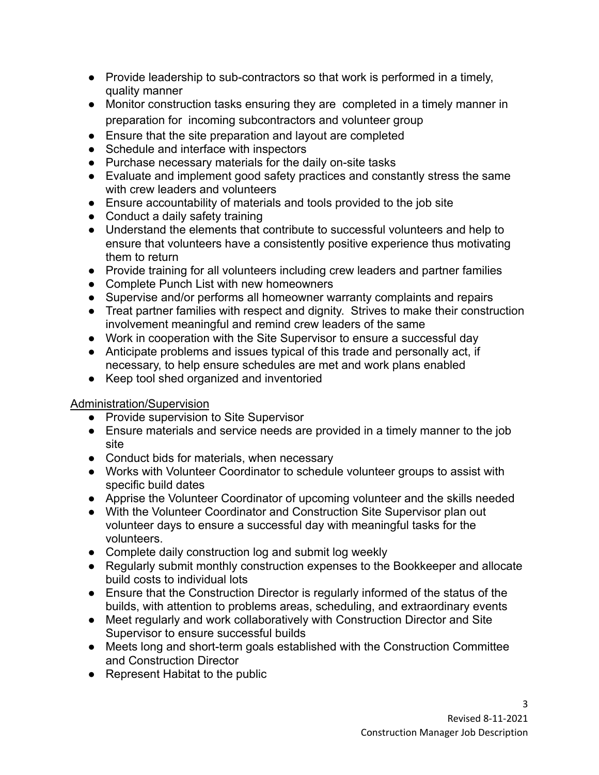- $\bullet$  Provide leadership to sub-contractors so that work is performed in a timely, quality manner
- Monitor construction tasks ensuring they are completed in a timely manner in preparation for incoming subcontractors and volunteer group
- Ensure that the site preparation and layout are completed
- Schedule and interface with inspectors
- Purchase necessary materials for the daily on-site tasks
- Evaluate and implement good safety practices and constantly stress the same with crew leaders and volunteers
- Ensure accountability of materials and tools provided to the job site
- Conduct a daily safety training
- Understand the elements that contribute to successful volunteers and help to ensure that volunteers have a consistently positive experience thus motivating them to return
- Provide training for all volunteers including crew leaders and partner families
- Complete Punch List with new homeowners
- Supervise and/or performs all homeowner warranty complaints and repairs
- Treat partner families with respect and dignity. Strives to make their construction involvement meaningful and remind crew leaders of the same
- Work in cooperation with the Site Supervisor to ensure a successful day
- Anticipate problems and issues typical of this trade and personally act, if necessary, to help ensure schedules are met and work plans enabled
- Keep tool shed organized and inventoried

## Administration/Supervision

- Provide supervision to Site Supervisor
- Ensure materials and service needs are provided in a timely manner to the job site
- Conduct bids for materials, when necessary
- Works with Volunteer Coordinator to schedule volunteer groups to assist with specific build dates
- Apprise the Volunteer Coordinator of upcoming volunteer and the skills needed
- With the Volunteer Coordinator and Construction Site Supervisor plan out volunteer days to ensure a successful day with meaningful tasks for the volunteers.
- Complete daily construction log and submit log weekly
- Regularly submit monthly construction expenses to the Bookkeeper and allocate build costs to individual lots
- Ensure that the Construction Director is regularly informed of the status of the builds, with attention to problems areas, scheduling, and extraordinary events
- Meet regularly and work collaboratively with Construction Director and Site Supervisor to ensure successful builds
- Meets long and short-term goals established with the Construction Committee and Construction Director
- Represent Habitat to the public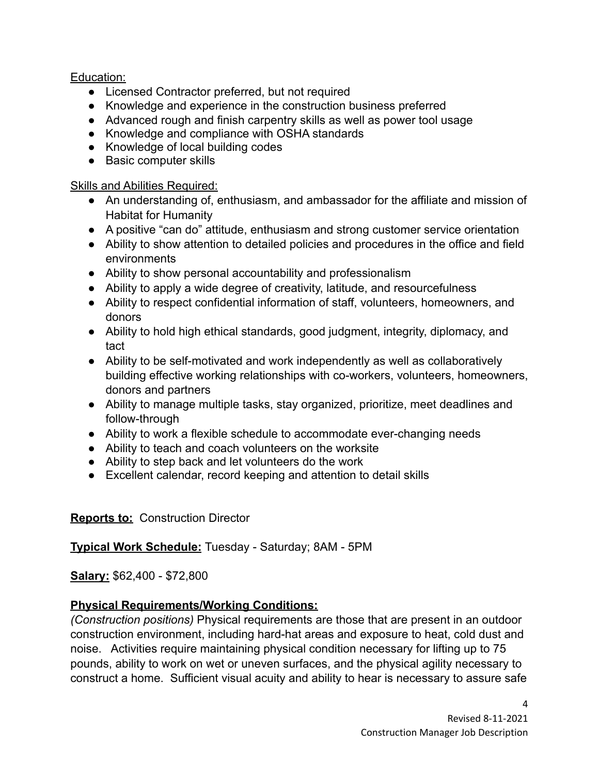Education:

- Licensed Contractor preferred, but not required
- Knowledge and experience in the construction business preferred
- Advanced rough and finish carpentry skills as well as power tool usage
- Knowledge and compliance with OSHA standards
- Knowledge of local building codes
- Basic computer skills

## Skills and Abilities Required:

- An understanding of, enthusiasm, and ambassador for the affiliate and mission of Habitat for Humanity
- A positive "can do" attitude, enthusiasm and strong customer service orientation
- Ability to show attention to detailed policies and procedures in the office and field environments
- Ability to show personal accountability and professionalism
- Ability to apply a wide degree of creativity, latitude, and resourcefulness
- Ability to respect confidential information of staff, volunteers, homeowners, and donors
- Ability to hold high ethical standards, good judgment, integrity, diplomacy, and tact
- Ability to be self-motivated and work independently as well as collaboratively building effective working relationships with co-workers, volunteers, homeowners, donors and partners
- Ability to manage multiple tasks, stay organized, prioritize, meet deadlines and follow-through
- Ability to work a flexible schedule to accommodate ever-changing needs
- Ability to teach and coach volunteers on the worksite
- Ability to step back and let volunteers do the work
- Excellent calendar, record keeping and attention to detail skills

## **Reports to:** Construction Director

## **Typical Work Schedule:** Tuesday - Saturday; 8AM - 5PM

# **Salary:** \$62,400 - \$72,800

# **Physical Requirements/Working Conditions:**

*(Construction positions)* Physical requirements are those that are present in an outdoor construction environment, including hard-hat areas and exposure to heat, cold dust and noise. Activities require maintaining physical condition necessary for lifting up to 75 pounds, ability to work on wet or uneven surfaces, and the physical agility necessary to construct a home. Sufficient visual acuity and ability to hear is necessary to assure safe